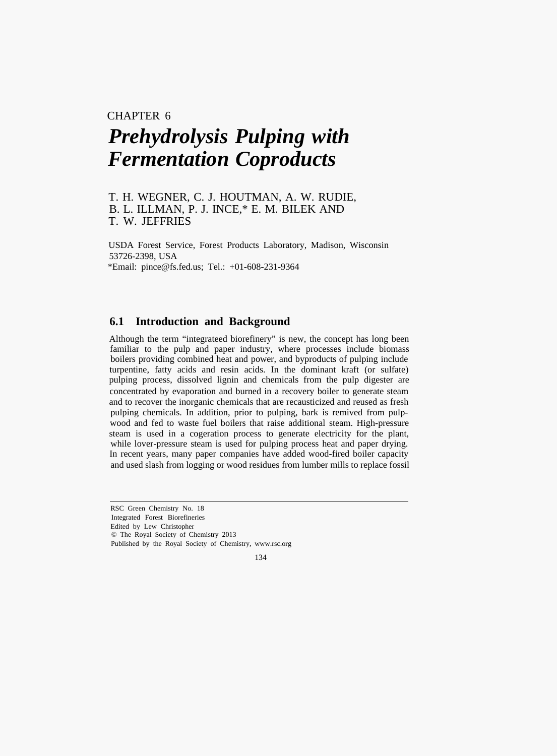# CHAPTER 6 *Prehydrolysis Pulping with Fermentation Coproducts*

T. H. WEGNER, C. J. HOUTMAN, A. W. RUDIE, B. L. ILLMAN, P. J. INCE,\* E. M. BILEK AND T. W. JEFFRIES

USDA Forest Service, Forest Products Laboratory, Madison, Wisconsin 53726-2398, USA \*Email: pince@fs.fed.us; Tel.: +01-608-231-9364

#### **6.1 Introduction and Background**

Although the term "integrateed biorefinery" is new, the concept has long been familiar to the pulp and paper industry, where processes include biomass boilers providing combined heat and power, and byproducts of pulping include turpentine, fatty acids and resin acids. In the dominant kraft (or sulfate) pulping process, dissolved lignin and chemicals from the pulp digester are concentrated by evaporation and burned in a recovery boiler to generate steam and to recover the inorganic chemicals that are recausticized and reused as fresh pulping chemicals. In addition, prior to pulping, bark is remived from pulpwood and fed to waste fuel boilers that raise additional steam. High-pressure steam is used in a cogeration process to generate electricity for the plant, while lover-pressure steam is used for pulping process heat and paper drying. In recent years, many paper companies have added wood-fired boiler capacity and used slash from logging or wood residues from lumber mills to replace fossil

134

RSC Green Chemistry No. 18 Integrated Forest Biorefineries Edited by Lew Christopher © The Royal Society of Chemistry 2013 Published by the Royal Society of Chemistry, www.rsc.org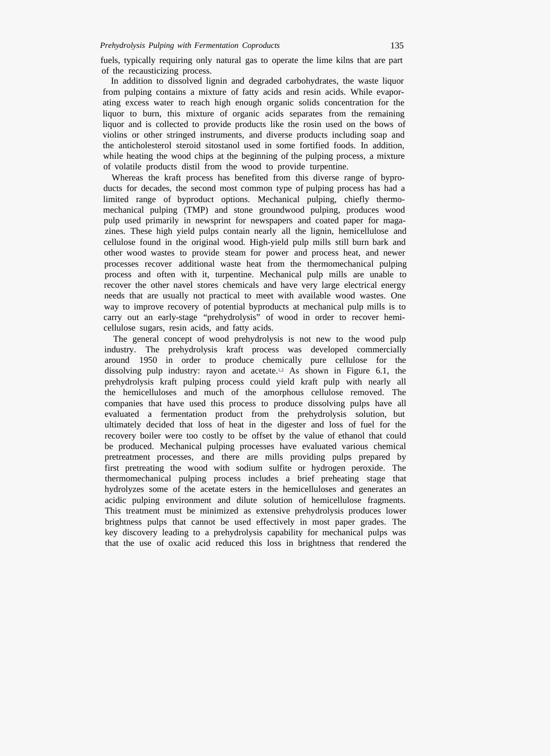fuels, typically requiring only natural gas to operate the lime kilns that are part of the recausticizing process.

In addition to dissolved lignin and degraded carbohydrates, the waste liquor from pulping contains a mixture of fatty acids and resin acids. While evaporating excess water to reach high enough organic solids concentration for the liquor to burn, this mixture of organic acids separates from the remaining liquor and is collected to provide products like the rosin used on the bows of violins or other stringed instruments, and diverse products including soap and the anticholesterol steroid sitostanol used in some fortified foods. In addition, while heating the wood chips at the beginning of the pulping process, a mixture of volatile products distil from the wood to provide turpentine.

Whereas the kraft process has benefited from this diverse range of byproducts for decades, the second most common type of pulping process has had a limited range of byproduct options. Mechanical pulping, chiefly thermomechanical pulping (TMP) and stone groundwood pulping, produces wood pulp used primarily in newsprint for newspapers and coated paper for magazines. These high yield pulps contain nearly all the lignin, hemicellulose and cellulose found in the original wood. High-yield pulp mills still burn bark and other wood wastes to provide steam for power and process heat, and newer processes recover additional waste heat from the thermomechanical pulping process and often with it, turpentine. Mechanical pulp mills are unable to recover the other navel stores chemicals and have very large electrical energy needs that are usually not practical to meet with available wood wastes. One way to improve recovery of potential byproducts at mechanical pulp mills is to carry out an early-stage "prehydrolysis" of wood in order to recover hemicellulose sugars, resin acids, and fatty acids.

The general concept of wood prehydrolysis is not new to the wood pulp industry. The prehydrolysis kraft process was developed commercially around 1950 in order to produce chemically pure cellulose for the dissolving pulp industry: rayon and acetate.<sup>1,2</sup> As shown in Fig[ure 6.1, th](#page-2-0)e prehydrolysis kraft pulping process could yield kraft pulp with nearly all the hemicelluloses and much of the amorphous cellulose removed. The companies that have used this process to produce dissolving pulps have all evaluated a fermentation product from the prehydrolysis solution, but ultimately decided that loss of heat in the digester and loss of fuel for the recovery boiler were too costly to be offset by the value of ethanol that could be produced. Mechanical pulping processes have evaluated various chemical pretreatment processes, and there are mills providing pulps prepared by first pretreating the wood with sodium sulfite or hydrogen peroxide. The thermomechanical pulping process includes a brief preheating stage that hydrolyzes some of the acetate esters in the hemicelluloses and generates an acidic pulping environment and dilute solution of hemicellulose fragments. This treatment must be minimized as extensive prehydrolysis produces lower brightness pulps that cannot be used effectively in most paper grades. The key discovery leading to a prehydrolysis capability for mechanical pulps was that the use of oxalic acid reduced this loss in brightness that rendered the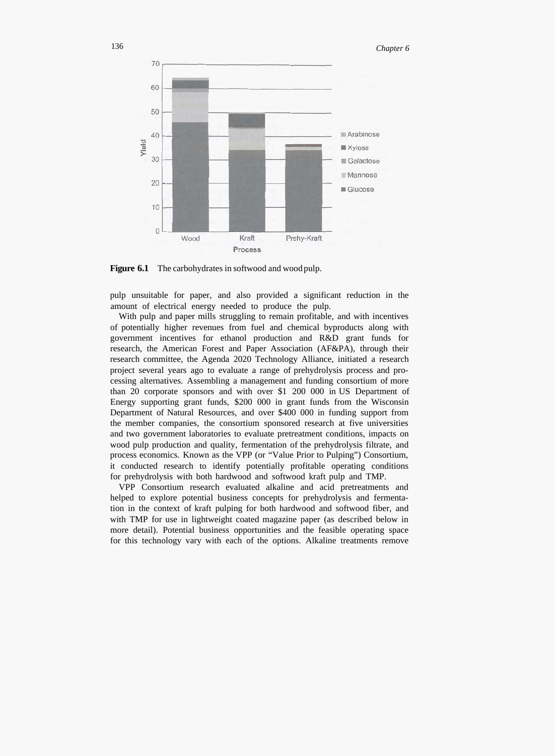<span id="page-2-0"></span>

**Figure 6.1** The carbohydrates in softwood and wood pulp.

pulp unsuitable for paper, and also provided a significant reduction in the amount of electrical energy needed to produce the pulp.

With pulp and paper mills struggling to remain profitable, and with incentives of potentially higher revenues from fuel and chemical byproducts along with government incentives for ethanol production and R&D grant funds for research, the American Forest and Paper Association (AF&PA), through their research committee, the Agenda 2020 Technology Alliance, initiated a research project several years ago to evaluate a range of prehydrolysis process and processing alternatives. Assembling a management and funding consortium of more than 20 corporate sponsors and with over \$1 200 000 in US Department of Energy supporting grant funds, \$200 000 in grant funds from the Wisconsin Department of Natural Resources, and over \$400 000 in funding support from the member companies, the consortium sponsored research at five universities and two government laboratories to evaluate pretreatment conditions, impacts on wood pulp production and quality, fermentation of the prehydrolysis filtrate, and process economics. Known as the VPP (or "Value Prior to Pulping") Consortium, it conducted research to identify potentially profitable operating conditions for prehydrolysis with both hardwood and softwood kraft pulp and TMP.

VPP Consortium research evaluated alkaline and acid pretreatments and helped to explore potential business concepts for prehydrolysis and fermentation in the context of kraft pulping for both hardwood and softwood fiber, and with TMP for use in lightweight coated magazine paper (as described below in more detail). Potential business opportunities and the feasible operating space for this technology vary with each of the options. Alkaline treatments remove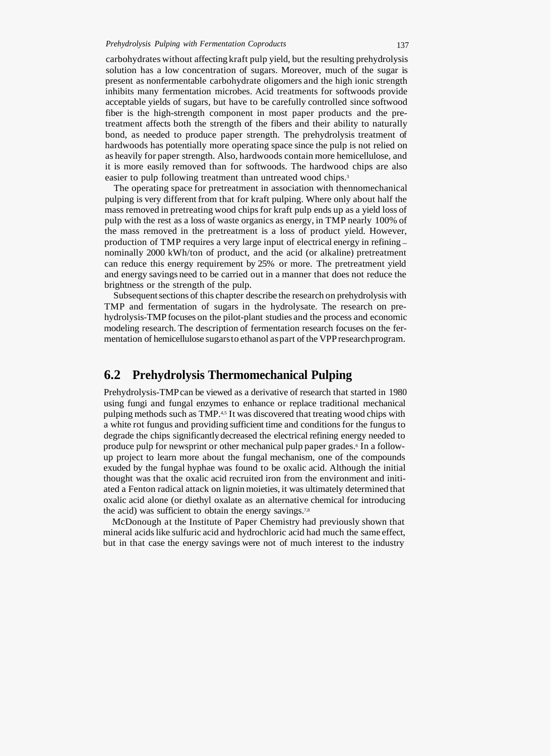carbohydrates without affecting kraft pulp yield, but the resulting prehydrolysis solution has a low concentration of sugars. Moreover, much of the sugar is present as nonfermentable carbohydrate oligomers and the high ionic strength inhibits many fermentation microbes. Acid treatments for softwoods provide acceptable yields of sugars, but have to be carefully controlled since softwood fiber is the high-strength component in most paper products and the pretreatment affects both the strength of the fibers and their ability to naturally bond, as needed to produce paper strength. The prehydrolysis treatment of hardwoods has potentially more operating space since the pulp is not relied on as heavily for paper strength. Also, hardwoods contain more hemicellulose, and it is more easily removed than for softwoods. The hardwood chips are also easier to pulp following treatment than untreated wood chips.<sup>3</sup>

The operating space for pretreatment in association with thennomechanical pulping is very different from that for kraft pulping. Where only about half the mass removed in pretreating wood chips for kraft pulp ends up as a yield loss of pulp with the rest as a loss of waste organics as energy, in TMP nearly 100% of the mass removed in the pretreatment is a loss of product yield. However, production of TMP requires a very large input of electrical energy in refining  $$ nominally 2000 kWh/ton of product, and the acid (or alkaline) pretreatment can reduce this energy requirement by 25% or more. The pretreatment yield and energy savings need to be carried out in a manner that does not reduce the brightness or the strength of the pulp.

Subsequent sections of this chapter describe the research on prehydrolysis with TMP and fermentation of sugars in the hydrolysate. The research on prehydrolysis-TMP focuses on the pilot-plant studies and the process and economic modeling research. The description of fermentation research focuses on the fermentation of hemicellulose sugars to ethanol as part of the VPP researchprogram.

## **6.2 Prehydrolysis Thermomechanical Pulping**

Prehydrolysis-TMP can be viewed as a derivative of research that started in 1980 using fungi and fungal enzymes to enhance or replace traditional mechanical pulping methods such as TMP.4,5 It was discovered that treating wood chips with a white rot fungus and providing sufficient time and conditions for the fungus to degrade the chips significantly decreased the electrical refining energy needed to produce pulp for newsprint or other mechanical pulp paper grades.<sup>6</sup> In a followup project to learn more about the fungal mechanism, one of the compounds exuded by the fungal hyphae was found to be oxalic acid. Although the initial thought was that the oxalic acid recruited iron from the environment and initiated a Fenton radical attack on lignin moieties, it was ultimately determined that oxalic acid alone (or diethyl oxalate as an alternative chemical for introducing the acid) was sufficient to obtain the energy savings.7,8

McDonough at the Institute of Paper Chemistry had previously shown that mineral acids like sulfuric acid and hydrochloric acid had much the same effect, but in that case the energy savings were not of much interest to the industry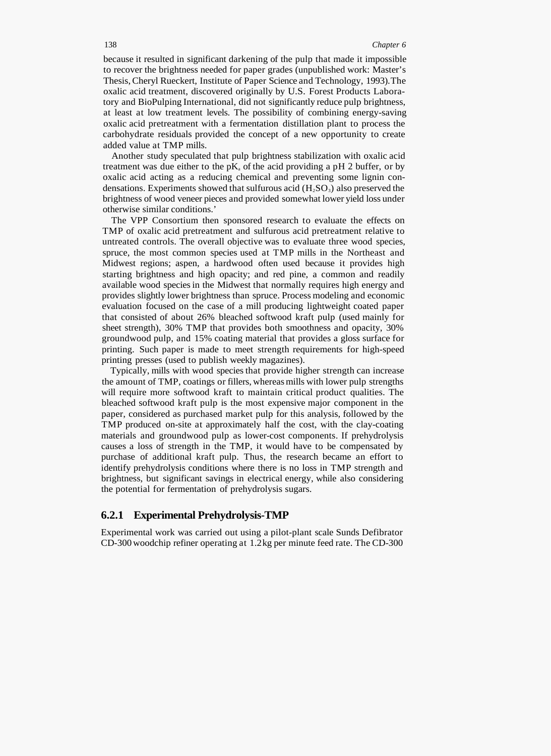because it resulted in significant darkening of the pulp that made it impossible to recover the brightness needed for paper grades (unpublished work: Master's Thesis, Cheryl Rueckert, Institute of Paper Science and Technology, 1993).The oxalic acid treatment, discovered originally by U.S. Forest Products Laboratory and BioPulping International, did not significantly reduce pulp brightness, at least at low treatment levels. The possibility of combining energy-saving oxalic acid pretreatment with a fermentation distillation plant to process the carbohydrate residuals provided the concept of a new opportunity to create added value at TMP mills.

Another study speculated that pulp brightness stabilization with oxalic acid treatment was due either to the  $pK_a$  of the acid providing a  $pH_2$  buffer, or by oxalic acid acting as a reducing chemical and preventing some lignin condensations. Experiments showed that sulfurous acid  $(H_2SO_3)$  also preserved the brightness of wood veneer pieces and provided somewhat lower yield loss under otherwise similar conditions.'

The VPP Consortium then sponsored research to evaluate the effects on TMP of oxalic acid pretreatment and sulfurous acid pretreatment relative to untreated controls. The overall objective was to evaluate three wood species, spruce, the most common species used at TMP mills in the Northeast and Midwest regions; aspen, a hardwood often used because it provides high starting brightness and high opacity; and red pine, a common and readily available wood species in the Midwest that normally requires high energy and provides slightly lower brightness than spruce. Process modeling and economic evaluation focused on the case of a mill producing lightweight coated paper that consisted of about 26% bleached softwood kraft pulp (used mainly for sheet strength), 30% TMP that provides both smoothness and opacity, 30% groundwood pulp, and 15% coating material that provides a gloss surface for printing. Such paper is made to meet strength requirements for high-speed printing presses (used to publish weekly magazines).

Typically, mills with wood species that provide higher strength can increase the amount of TMP, coatings or fillers, whereas mills with lower pulp strengths will require more softwood kraft to maintain critical product qualities. The bleached softwood kraft pulp is the most expensive major component in the paper, considered as purchased market pulp for this analysis, followed by the TMP produced on-site at approximately half the cost, with the clay-coating materials and groundwood pulp as lower-cost components. If prehydrolysis causes a loss of strength in the TMP, it would have to be compensated by purchase of additional kraft pulp. Thus, the research became an effort to identify prehydrolysis conditions where there is no loss in TMP strength and brightness, but significant savings in electrical energy, while also considering the potential for fermentation of prehydrolysis sugars.

#### **6.2.1 Experimental Prehydrolysis-TMP**

Experimental work was carried out using a pilot-plant scale Sunds Defibrator CD-300 woodchip refiner operating at 1.2kg per minute feed rate. The CD-300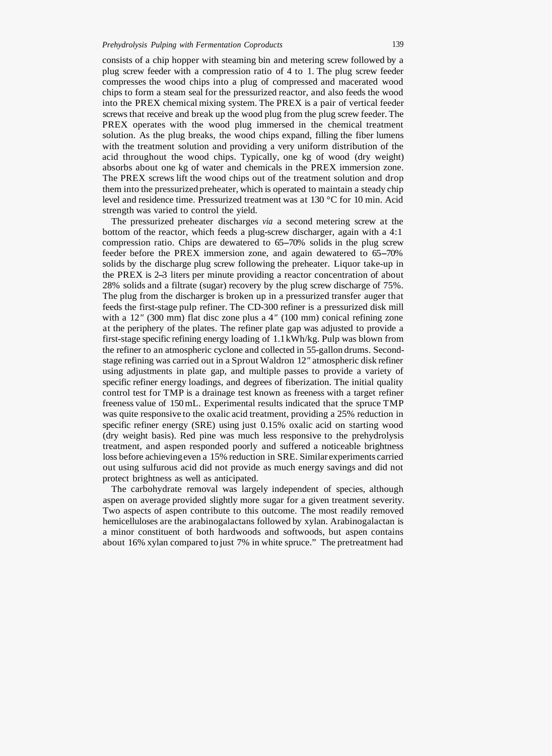consists of a chip hopper with steaming bin and metering screw followed by a plug screw feeder with a compression ratio of 4 to 1. The plug screw feeder compresses the wood chips into a plug of compressed and macerated wood chips to form a steam seal for the pressurized reactor, and also feeds the wood into the PREX chemical mixing system. The PREX is a pair of vertical feeder screws that receive and break up the wood plug from the plug screw feeder. The PREX operates with the wood plug immersed in the chemical treatment solution. As the plug breaks, the wood chips expand, filling the fiber lumens with the treatment solution and providing a very uniform distribution of the acid throughout the wood chips. Typically, one kg of wood (dry weight) absorbs about one kg of water and chemicals in the PREX immersion zone. The PREX screws lift the wood chips out of the treatment solution and drop them into the pressurized preheater, which is operated to maintain a steady chip level and residence time. Pressurized treatment was at 130 °C for 10 min. Acid strength was varied to control the yield.

The pressurized preheater discharges *via* a second metering screw at the bottom of the reactor, which feeds a plug-screw discharger, again with a 4:1 compression ratio. Chips are dewatered to 65-70% solids in the plug screw feeder before the PREX immersion zone, and again dewatered to 65-70% solids by the discharge plug screw following the preheater. Liquor take-up in the PREX is 2-3 liters per minute providing a reactor concentration of about 28% solids and a filtrate (sugar) recovery by the plug screw discharge of 75%. The plug from the discharger is broken up in a pressurized transfer auger that feeds the first-stage pulp refiner. The CD-300 refiner is a pressurized disk mill with a 12*"* (300 mm) flat disc zone plus a 4*"* (100 mm) conical refining zone at the periphery of the plates. The refiner plate gap was adjusted to provide a first-stage specific refining energy loading of 1.1 kWh/kg. Pulp was blown from the refiner to an atmospheric cyclone and collected in 55-gallon drums. Secondstage refining was carried out in a Sprout Waldron 12*"* atmospheric disk refiner using adjustments in plate gap, and multiple passes to provide a variety of specific refiner energy loadings, and degrees of fiberization. The initial quality control test for TMP is a drainage test known as freeness with a target refiner freeness value of 150 mL. Experimental results indicated that the spruce TMP was quite responsive to the oxalic acid treatment, providing a 25% reduction in specific refiner energy (SRE) using just 0.15% oxalic acid on starting wood (dry weight basis). Red pine was much less responsive to the prehydrolysis treatment, and aspen responded poorly and suffered a noticeable brightness loss before achieving even a 15% reduction in SRE. Similar experiments carried out using sulfurous acid did not provide as much energy savings and did not protect brightness as well as anticipated.

The carbohydrate removal was largely independent of species, although aspen on average provided slightly more sugar for a given treatment severity. Two aspects of aspen contribute to this outcome. The most readily removed hemicelluloses are the arabinogalactans followed by xylan. Arabinogalactan is a minor constituent of both hardwoods and softwoods, but aspen contains about 16% xylan compared to just 7% in white spruce." The pretreatment had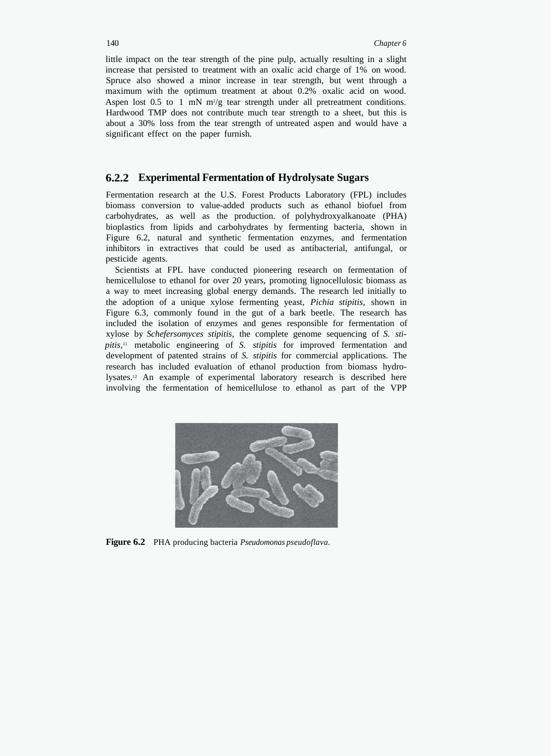<span id="page-6-0"></span>little impact on the tear strength of the pine pulp, actually resulting in a slight increase that persisted to treatment with an oxalic acid charge of 1% on wood. Spruce also showed a minor increase in tear strength, but went through a maximum with the optimum treatment at about 0.2% oxalic acid on wood. Aspen lost 0.5 to 1 mN m<sup>2</sup>/g tear strength under all pretreatment conditions. Hardwood TMP does not contribute much tear strength to a sheet, but this is about a 30% loss from the tear strength of untreated aspen and would have a significant effect on the paper furnish.

#### **6.2.2 Experimental Fermentation of Hydrolysate Sugars**

Fermentation research at the U.S. Forest Products Laboratory (FPL) includes biomass conversion to value-added products such as ethanol biofuel from carbohydrates, as well as the production. of polyhydroxyalkanoate (PHA) bioplastics from lipids and carbohydrates by fermenting bacteria, shown in Figure 6.2, natural and synthetic fermentation enzymes, and fermentation inhibitors in extractives that could be used as antibacterial, antifungal, or pesticide agents.

Scientists at FPL have conducted pioneering research on fermentation of hemicellulose to ethanol for over 20 years, promoting lignocellulosic biomass as a way to meet increasing global energy demands. The research led initially to the adoption of a unique xylose fermenting yeast, *Pichia stipitis,* shown in Figure 6.3, commonly found in the gut of a bark beetle. The research has included the isolation of enzymes and genes responsible for fermentation of xylose by *Schefersomyces stipitis,* the complete genome sequencing of *S. stipitis,*11 metabolic engineering of *S. stipitis* for improved fermentation and development of patented strains of *S. stipitis* for commercial applications. The research has included evaluation of ethanol production from biomass hydrolysates.12 An example of experimental laboratory research is described here involving the fermentation of hemicellulose to ethanol as part of the VPP



**Figure 6.2** PHA producing bacteria *Pseudomonas pseudoflava.*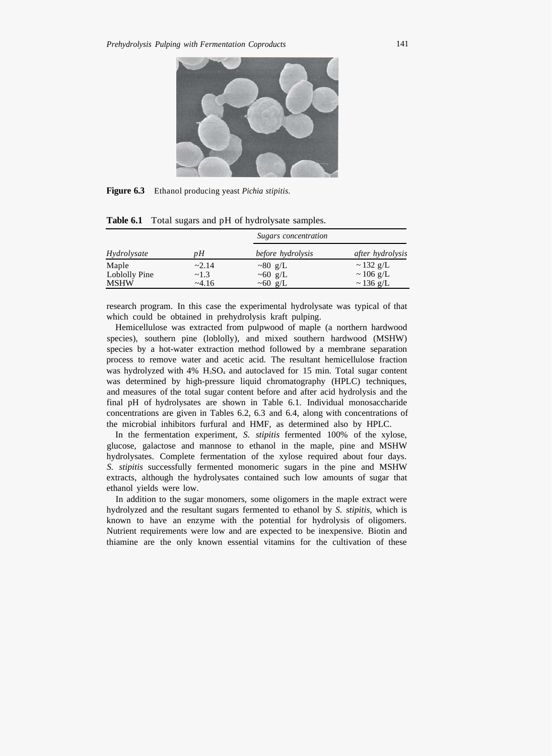

**[Figure](#page-6-0) 6.3** Ethanol producing yeast *Pichia stipitis.* 

|               |             | Sugars concentration |                  |
|---------------|-------------|----------------------|------------------|
| Hydrolysate   | vН          | before hydrolysis    | after hydrolysis |
| Maple         | $\sim$ 2.14 | $\sim 80$ g/L        | $\sim$ 132 g/L   |
| Loblolly Pine | ~1.3        | $\sim 60$ g/L        | $\sim 106$ g/L   |
| <b>MSHW</b>   | $-4.16$     | $\sim 60$ g/L        | $\sim$ 136 g/L   |

**[Table](#page-6-0) 6.1** Total sugars and pH of hydrolysate samples.

research program. In this case the experimental hydrolysate was typical of that which could be obtained in prehydrolysis kraft pulping.

Hemicellulose was extracted from pulpwood of maple (a northern hardwood species), southern pine (loblolly), and mixed southern hardwood (MSHW) species by a hot-water extraction method followed by a membrane separation process to remove water and acetic acid. The resultant hemicellulose fraction was hydrolyzed with  $4\%$  H<sub>2</sub>SO<sub>4</sub> and autoclaved for 15 min. Total sugar content was determined by high-pressure liquid chromatography (HPLC) techniques, and measures of the total sugar content before and after acid hydrolysis and the final pH of hydrolysates are shown in [Table 6.1](#page-6-0). Individual monosaccharide concentrations are given in Tables 6.2, 6.3 and 6.4, along with concentrations of the microbial inhibitors furfural and HMF, as determined also by HPLC.

In the fermentation experiment, *S. stipitis* fermented 100% of the xylose, glucose, galactose and mannose to ethanol in the maple, pine and MSHW hydrolysates. Complete fermentation of the xylose required about four days. *S. stipitis* successfully fermented monomeric sugars in the pine and MSHW extracts, although the hydrolysates contained such low amounts of sugar that ethanol yields were low.

In addition to the sugar monomers, some oligomers in the maple extract were hydrolyzed and the resultant sugars fermented to ethanol by *S. stipitis,* which is known to have an enzyme with the potential for hydrolysis of oligomers. Nutrient requirements were low and are expected to be inexpensive. Biotin and thiamine are the only known essential vitamins for the cultivation of these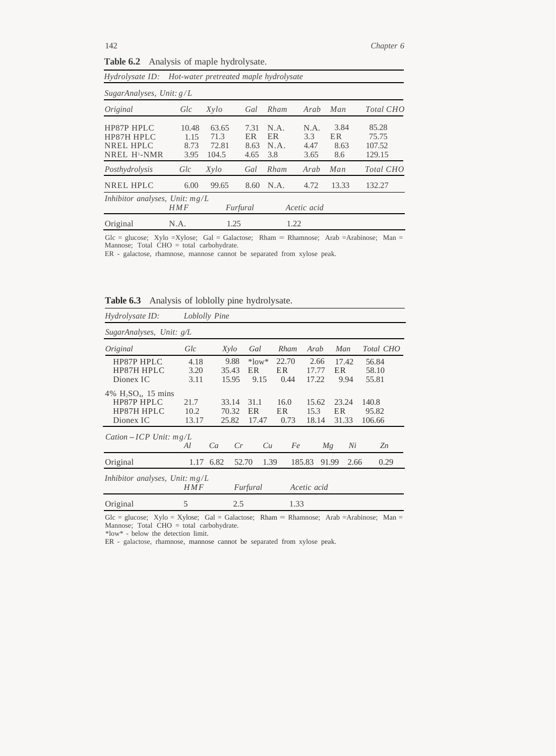<span id="page-8-0"></span>

| Table 6.2 |  | Analysis of maple hydrolysate. |
|-----------|--|--------------------------------|
|           |  |                                |

| Hot-water pretreated maple hydrolysate<br>Hydrolysate ID:         |                               |                                 |                                   |                              |                             |                           |                                    |
|-------------------------------------------------------------------|-------------------------------|---------------------------------|-----------------------------------|------------------------------|-----------------------------|---------------------------|------------------------------------|
| SugarAnalyses, Unit: $g/L$                                        |                               |                                 |                                   |                              |                             |                           |                                    |
| Original                                                          | Glc                           | Xylo                            | Gal                               | Rham                         | Arab                        | Man                       | Total CHO                          |
| HP87P HPLC<br>HP87H HPLC<br>NREL HPLC<br>NREL H <sup>1</sup> -NMR | 10.48<br>1.15<br>8.73<br>3.95 | 63.65<br>71.3<br>72.81<br>104.5 | 7.31<br><b>ER</b><br>8.63<br>4.65 | N.A.<br>ER<br>$N.A$ .<br>3.8 | N.A.<br>3.3<br>4.47<br>3.65 | 3.84<br>ER<br>8.63<br>8.6 | 85.28<br>75.75<br>107.52<br>129.15 |
| Posthydrolysis                                                    | Glc                           | Xylo                            | Gal                               | Rham                         | Arab                        | Man                       | Total CHO                          |
| <b>NREL HPLC</b>                                                  | 6.00                          | 99.65                           | 8.60                              | N.A.                         | 4.72                        | 13.33                     | 132.27                             |
| Inhibitor analyses, Unit: $mg/L$                                  | HMF                           |                                 | Furfural                          |                              | Acetic acid                 |                           |                                    |

Original N.A. 1.25 1.22

 $Glc =$  glucose; Xylo =Xylose; Gal = Galactose; Rham = Rhamnose; Arab =Arabinose; Man = Mannose; Total CHO = total carbohydrate.

ER - galactose, rhamnose, mannose cannot be separated from xylose peak.

**Table 6.3** Analysis of loblolly pine hydrolysate.

| Hydrolysate ID:                                                           | Loblolly Pine         |       |                        |                            |      |               |                        |       |                |                          |
|---------------------------------------------------------------------------|-----------------------|-------|------------------------|----------------------------|------|---------------|------------------------|-------|----------------|--------------------------|
| <i>SugarAnalyses, Unit: <math>g/L</math></i>                              |                       |       |                        |                            |      |               |                        |       |                |                          |
| Original                                                                  | Glc                   | Xylo  |                        | Gal                        |      | Rham          | Arab                   |       | Man            | Total CHO                |
| HP87P HPLC<br>HP87H HPLC<br>Dionex IC                                     | 4.18<br>3.20<br>3.11  |       | 9.88<br>35.43<br>15.95 | $*$ low $*$<br>ER.<br>9.15 | ER   | 22.70<br>0.44 | 2.66<br>17.77<br>17.22 | ER.   | 17.42<br>9.94  | 56.84<br>58.10<br>55.81  |
| 4\% $H_2SO_4$ , 15 mins<br>HP87P HPLC<br>HP87H HPLC<br>Dionex IC          | 21.7<br>10.2<br>13.17 | 25.82 | 33.14<br>70.32         | 31.1<br>ER.<br>17.47       | ER.  | 16.0<br>0.73  | 15.62<br>15.3<br>18.14 | ER    | 23.24<br>31.33 | 140.8<br>95.82<br>106.66 |
| Cation $-ICP$ Unit: $mg/L$                                                | Al                    | Ca    | Cr                     | Cu                         |      | Fe            |                        | Mg    | Ni             | Zn                       |
| Original                                                                  | 1.17                  | 6.82  | 52.70                  |                            | 1.39 | 185.83        |                        | 91.99 | 2.66           | 0.29                     |
| Inhibitor analyses, Unit: $mg/L$<br><b>HMF</b><br>Furfural<br>Acetic acid |                       |       |                        |                            |      |               |                        |       |                |                          |
| Original                                                                  | 5                     |       | 2.5                    |                            |      | 1.33          |                        |       |                |                          |

Glc = glucose; Xylo = Xylose; Gal = Galactose; Rham = Rhamnose; Arab =Arabinose; Man = Mannose; Total CHO = total carbohydrate.

\*low\* - below the detection limit.

ER - galactose, rhamnose, mannose cannot be separated from xylose peak.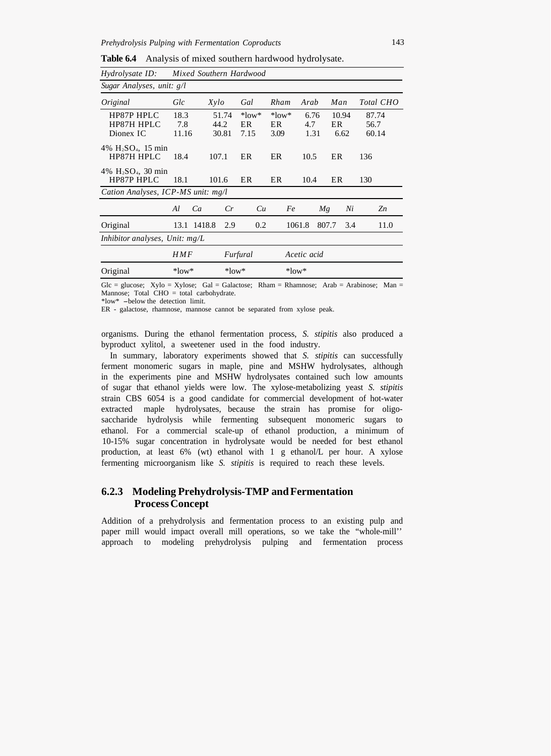| Table 6.4 |  |  |  | Analysis of mixed southern hardwood hydrolysate. |
|-----------|--|--|--|--------------------------------------------------|
|-----------|--|--|--|--------------------------------------------------|

| Hydrolysate ID:                       | Mixed Southern Hardwood          |             |               |             |                           |                           |             |                     |       |                     |     |                        |           |
|---------------------------------------|----------------------------------|-------------|---------------|-------------|---------------------------|---------------------------|-------------|---------------------|-------|---------------------|-----|------------------------|-----------|
| Sugar Analyses, unit: g/l             |                                  |             |               |             |                           |                           |             |                     |       |                     |     |                        |           |
| Original                              | Glc                              |             | Xylo          |             | Gal                       | Rham                      |             | Arab                |       | Man                 |     |                        | Total CHO |
| HP87P HPLC<br>HP87H HPLC<br>Dionex IC | 18.3<br>7.8<br>11.16             |             | 44.2<br>30.81 | 51.74       | $*$ low $*$<br>ER<br>7.15 | $*$ low $*$<br>ER<br>3.09 |             | 6.76<br>4.7<br>1.31 |       | 10.94<br>ER<br>6.62 |     | 87.74<br>56.7<br>60.14 |           |
| 4% $H_2SO_4$ , 15 min<br>HP87H HPLC   | 18.4                             |             | 107.1         |             | ER                        | ER                        |             | 10.5                |       | ER                  |     | 136                    |           |
| 4\% $H_2SO_4$ , 30 min<br>HP87P HPLC  | 18.1                             |             | 101.6         |             | ER                        | ER                        |             | 10.4                |       | ER                  |     | 130                    |           |
| Cation Analyses, ICP-MS unit: mg/l    |                                  |             |               |             |                           |                           |             |                     |       |                     |     |                        |           |
|                                       | Al                               | Ca          |               | Cr          | Cu                        |                           | Fe          |                     | Mg    |                     | Ni  |                        | Zn        |
| Original                              |                                  | 13.1 1418.8 |               | 2.9         | 0.2                       |                           | 1061.8      |                     | 807.7 |                     | 3.4 |                        | 11.0      |
|                                       | Inhibitor analyses, Unit: $mg/L$ |             |               |             |                           |                           |             |                     |       |                     |     |                        |           |
|                                       | <b>HMF</b>                       |             |               |             | Furfural                  |                           |             | Acetic acid         |       |                     |     |                        |           |
| Original                              | $*$ low $*$                      |             |               | $*$ low $*$ |                           |                           | $*$ low $*$ |                     |       |                     |     |                        |           |

 $Glc = glucose; Xylo = Xylose; Gal = Galactose; Rham = Rhamnose; Arab = Arabinose; Man = Iw, and and Iw.$ Mannose; Total CHO = total carbohydrate.

\*low\* -below the detection limit.

ER - galactose, rhamnose, mannose cannot be separated from xylose peak.

organisms. During the ethanol fermentation process, *S. stipitis* also produced a byproduct xylitol, a sweetener used in the food industry.

In summary, laboratory experiments showed that *S. stipitis* can successfully ferment monomeric sugars in maple, pine and MSHW hydrolysates, although in the experiments pine and MSHW hydrolysates contained such low amounts of sugar that ethanol yields were low. The xylose-metabolizing yeast *S. stipitis*  strain CBS 6054 is a good candidate for commercial development of hot-water extracted maple hydrolysates, because the strain has promise for oligosaccharide hydrolysis while fermenting subsequent monomeric sugars to ethanol. For a commercial scale-up of ethanol production, a minimum of 10-15% sugar concentration in hydrolysate would be needed for best ethanol production, at least 6% (wt) ethanol with 1 g ethanol/L per hour. A xylose fermenting microorganism like *S. stipitis* is required to reach these levels.

#### **6.2.3 Modeling Prehydrolysis-TMP and Fermentation Process Concept**

Addition of a prehydrolysis and fermentation process to an existing pulp and paper mill would impact overall mill operations, so we take the "whole-mill'' approach to modeling prehydrolysis pulping and fermentation process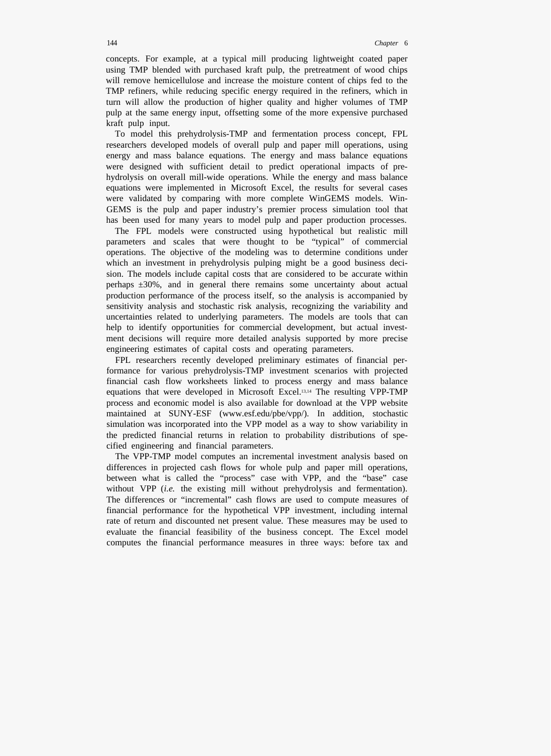concepts. For example, at a typical mill producing lightweight coated paper using TMP blended with purchased kraft pulp, the pretreatment of wood chips will remove hemicellulose and increase the moisture content of chips fed to the TMP refiners, while reducing specific energy required in the refiners, which in turn will allow the production of higher quality and higher volumes of TMP pulp at the same energy input, offsetting some of the more expensive purchased kraft pulp input.

To model this prehydrolysis-TMP and fermentation process concept, FPL researchers developed models of overall pulp and paper mill operations, using energy and mass balance equations. The energy and mass balance equations were designed with sufficient detail to predict operational impacts of prehydrolysis on overall mill-wide operations. While the energy and mass balance equations were implemented in Microsoft Excel, the results for several cases were validated by comparing with more complete WinGEMS models. Win-GEMS is the pulp and paper industry's premier process simulation tool that has been used for many years to model pulp and paper production processes.

The FPL models were constructed using hypothetical but realistic mill parameters and scales that were thought to be "typical" of commercial operations. The objective of the modeling was to determine conditions under which an investment in prehydrolysis pulping might be a good business decision. The models include capital costs that are considered to be accurate within perhaps ±30%, and in general there remains some uncertainty about actual production performance of the process itself, so the analysis is accompanied by sensitivity analysis and stochastic risk analysis, recognizing the variability and uncertainties related to underlying parameters. The models are tools that can help to identify opportunities for commercial development, but actual investment decisions will require more detailed analysis supported by more precise engineering estimates of capital costs and operating parameters.

FPL researchers recently developed preliminary estimates of financial performance for various prehydrolysis-TMP investment scenarios with projected financial cash flow worksheets linked to process energy and mass balance equations that were developed in Microsoft Excel.13,14 The resulting VPP-TMP process and economic model is also available for download at the VPP website maintained at SUNY-ESF (www.esf.edu/pbe/vpp/). In addition, stochastic simulation was incorporated into the VPP model as a way to show variability in the predicted financial returns in relation to probability distributions of specified engineering and financial parameters.

The VPP-TMP model computes an incremental investment analysis based on differences in projected cash flows for whole pulp and paper mill operations, between what is called the "process" case with VPP, and the "base" case without VPP (*i.e.* the existing mill without prehydrolysis and fermentation). The differences or "incremental" cash flows are used to compute measures of financial performance for the hypothetical VPP investment, including internal rate of return and discounted net present value. These measures may be used to evaluate the financial feasibility of the business concept. The Excel model computes the financial performance measures in three ways: before tax and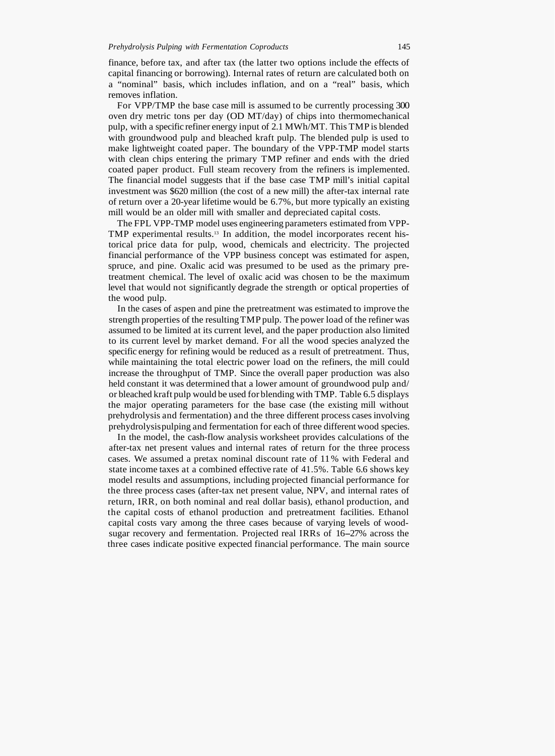finance, before tax, and after tax (the latter two options include the effects of capital financing or borrowing). Internal rates of return are calculated both on a "nominal" basis, which includes inflation, and on a "real" basis, which removes inflation.

For VPP/TMP the base case mill is assumed to be currently processing 300 oven dry metric tons per day (OD MT/day) of chips into thermomechanical pulp, with a specific refiner energy input of 2.1 MWh/MT. This TMP is blended with groundwood pulp and bleached kraft pulp. The blended pulp is used to make lightweight coated paper. The boundary of the VPP-TMP model starts with clean chips entering the primary TMP refiner and ends with the dried coated paper product. Full steam recovery from the refiners is implemented. The financial model suggests that if the base case TMP mill's initial capital investment was \$620 million (the cost of a new mill) the after-tax internal rate of return over a 20-year lifetime would be 6.7%, but more typically an existing mill would be an older mill with smaller and depreciated capital costs.

The FPL VPP-TMP model uses engineering parameters estimated from VPP-TMP experimental results.13 In addition, the model incorporates recent historical price data for pulp, wood, chemicals and electricity. The projected financial performance of the VPP business concept was estimated for aspen, spruce, and pine. Oxalic acid was presumed to be used as the primary pretreatment chemical. The level of oxalic acid was chosen to be the maximum level that would not significantly degrade the strength or optical properties of the wood pulp.

In the cases of aspen and pine the pretreatment was estimated to improve the strength properties of the resulting TMP pulp. The power load of the refiner was assumed to be limited at its current level, and the paper production also limited to its current level by market demand. For all the wood species analyzed the specific energy for refining would be reduced as a result of pretreatment. Thus, while maintaining the total electric power load on the refiners, the mill could increase the throughput of TMP. Since the overall paper production was also held constant it was determined that a lower amount of groundwood pulp and/ or bleached kraft pulp would be used for blending with TMP. [Table 6.5](#page-12-0) displays the major operating parameters for the base case (the existing mill without prehydrolysis and fermentation) and the three different process cases involving prehydrolysispulping and fermentation for each of three different wood species.

In the model, the cash-flow analysis worksheet provides calculations of the after-tax net present values and internal rates of return for the three process cases. We assumed a pretax nominal discount rate of 11 % with Federal and state income taxes at a combined effective rate of 41.5%. [Table 6.6](#page-12-0) shows key model results and assumptions, including projected financial performance for the three process cases (after-tax net present value, NPV, and internal rates of return, IRR, on both nominal and real dollar basis), ethanol production, and the capital costs of ethanol production and pretreatment facilities. Ethanol capital costs vary among the three cases because of varying levels of woodsugar recovery and fermentation. Projected real IRRs of 16-27% across the three cases indicate positive expected financial performance. The main source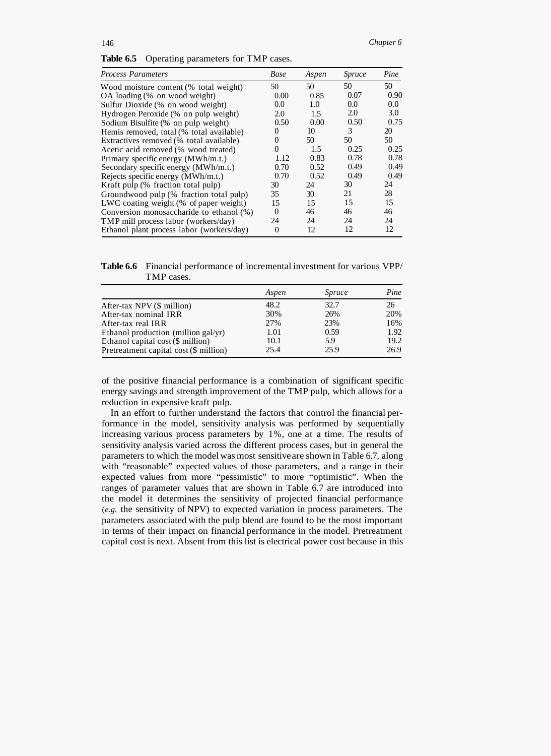| Table 6.5 Operating parameters for TMP cases. |  |  |  |
|-----------------------------------------------|--|--|--|
|-----------------------------------------------|--|--|--|

| <b>Process Parameters</b>                 | Base     | Aspen | <i>Spruce</i> | Pine |
|-------------------------------------------|----------|-------|---------------|------|
| Wood moisture content (% total weight)    | 50       | 50    | 50            | 50   |
| OA loading (% on wood weight)             | 0.00     | 0.85  | 0.07          | 0.90 |
| Sulfur Dioxide (% on wood weight)         | 0.0      | 1.0   | 0.0           | 0.0  |
| Hydrogen Peroxide (% on pulp weight)      | 2.0      | 1.5   | 2.0           | 3.0  |
| Sodium Bisulfite (% on pulp weight)       | 0.50     | 0.00  | 0.50          | 0.75 |
| Hemis removed, total (% total available)  | $^{(1)}$ | 10    | 3             | 20   |
| Extractives removed (% total available)   | $\theta$ | 50    | 50            | 50   |
| Acetic acid removed (% wood treated)      | $^{(1)}$ | 1.5   | 0.25          | 0.25 |
| Primary specific energy (MWh/m.t.)        | 1.12     | 0.83  | 0.78          | 0.78 |
| Secondary specific energy (MWh/m.t.)      | 0.70     | 0.52  | 0.49          | 0.49 |
| Rejects specific energy (MWh/m.t.)        | 0.70     | 0.52  | 0.49          | 0.49 |
| Kraft pulp (% fraction total pulp)        | 30       | 24    | 30            | 24   |
| Groundwood pulp (% fraction total pulp)   | 35       | 30    | 21            | 28   |
| LWC coating weight (% of paper weight)    | 15       | 15    | 15            | 15   |
| Conversion monosaccharide to ethanol (%)  | $\Omega$ | 46    | 46            | 46   |
| TMP mill process labor (workers/day)      | 24       | 24    | 24            | 24   |
| Ethanol plant process labor (workers/day) | 0        | 12    | 12            | 12   |

**Table 6.6** Financial performance of incremental investment for various VPP/ TMP cases.

|                                        | Aspen | <i>Spruce</i> | Pine |
|----------------------------------------|-------|---------------|------|
| After-tax NPV (\$ million)             | 48.2  | 32.7          | 26   |
| After-tax nominal IRR                  | 30%   | 26%           | 20%  |
| After-tax real IRR                     | 27%   | 23%           | 16%  |
| Ethanol production (million gal/yr)    | 1.01  | 0.59          | 1.92 |
| Ethanol capital cost (\$ million)      | 10.1  | 5.9           | 19.2 |
| Pretreatment capital cost (\$ million) | 25.4  | 25.9          | 26.9 |

of the positive financial performance is a combination of significant specific energy savings and strength improvement of the TMP pulp, which allows for a reduction in expensive kraft pulp.

In an effort to further understand the factors that control the financial performance in the model, sensitivity analysis was performed by sequentially increasing various process parameters by 1%, one at a time. The results of sensitivity analysis varied across the different process cases, but in general the parameters to which the model was most sensitive are shown in Table 6.7, along with "reasonable" expected values of those parameters, and a range in their expected values from more "pessimistic" to more "optimistic". When the ranges of parameter values that are shown in Table 6.7 are introduced into the model it determines the sensitivity of projected financial performance (*e.g.* the sensitivity of NPV) to expected variation in process parameters. The parameters associated with the pulp blend are found to be the most important in terms of their impact on financial performance in the model. Pretreatment capital cost is next. Absent from this list is electrical power cost because in this

<span id="page-12-0"></span>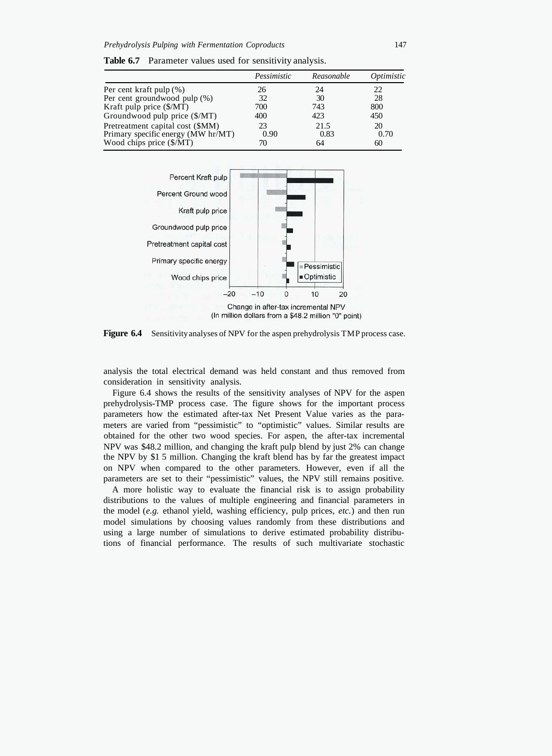|                                        | Pessimistic | Reasonable | Optimistic |
|----------------------------------------|-------------|------------|------------|
| Per cent kraft pulp (%)                | 26          | 24         | 22         |
| Per cent groundwood pulp (%)           | 32          | 30         | 28         |
| Kraft pulp price $(\frac{S}{MT})$      | 700         | 743        | 800        |
| Groundwood pulp price $(\frac{5}{MT})$ | 400         | 423        | 450        |
| Pretreatment capital cost (\$MM)       | 23          | 21.5       | 20         |
| Primary specific energy (MW hr/MT)     | 0.90        | 0.83       | 0.70       |
| Wood chips price (\$/MT)               |             | 64         | 60         |

**[Table](#page-12-0) 6.7** Parameter values used for sensitivity analysis.



**[Figure](#page-12-0) 6.4** Sensitivity analyses of NPV for the aspen prehydrolysis TMP process case.

analysis the total electrical demand was held constant and thus removed from consideration in sensitivity analysis.

[Figure 6.4](#page-12-0) shows the results of the sensitivity analyses of NPV for the aspen prehydrolysis-TMP process case. The figure shows for the important process parameters how the estimated after-tax Net Present Value varies as the parameters are varied from "pessimistic" to "optimistic" values. Similar results are obtained for the other two wood species. For aspen, the after-tax incremental NPV was \$48.2 million, and changing the kraft pulp blend by just 2% can change the NPV by \$1 5 million. Changing the kraft blend has by far the greatest impact on NPV when compared to the other parameters. However, even if all the parameters are set to their "pessimistic" values, the NPV still remains positive.

A more holistic way to evaluate the financial risk is to assign probability distributions to the values of multiple engineering and financial parameters in the model (*e.g.* ethanol yield, washing efficiency, pulp prices, *etc.*) and then run model simulations by choosing values randomly from these distributions and using a large number of simulations to derive estimated probability distributions of financial performance. The results of such multivariate stochastic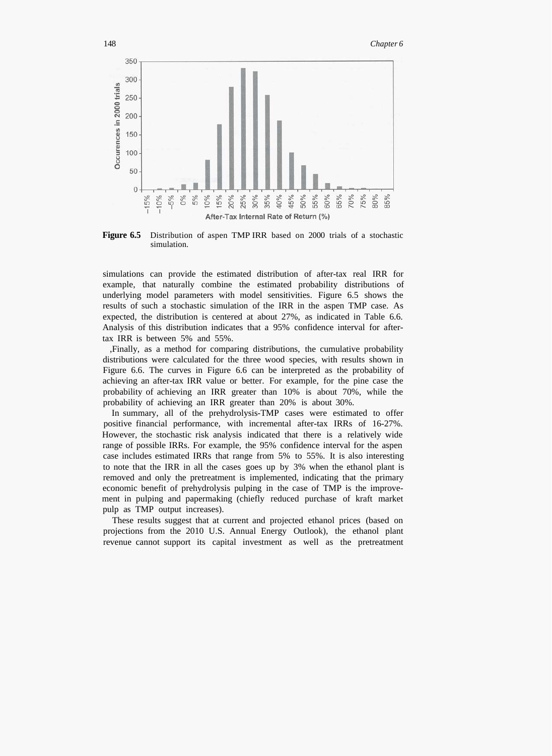<span id="page-14-0"></span>

**Figure 6.5** Distribution of aspen TMP IRR based on 2000 trials of a stochastic simulation.

simulations can provide the estimated distribution of after-tax real IRR for example, that naturally combine the estimated probability distributions of underlying model parameters with model sensitivities. Figure 6.5 shows the results of such a stochastic simulation of the IRR in the aspen TMP case. As expected, the distribution is centered at about 27%, as indicated in [Table 6.6.](#page-12-0)  Analysis of this distribution indicates that a 95% confidence interval for aftertax IRR is between 5% and 55%.

,Finally, as a method for comparing distributions, the cumulative probability distributions were calculated for the three wood species, with results shown in Figure 6.6. The curves in Figure 6.6 can be interpreted as the probability of achieving an after-tax IRR value or better. For example, for the pine case the probability of achieving an IRR greater than 10% is about 70%, while the probability of achieving an IRR greater than 20% is about 30%.

In summary, all of the prehydrolysis-TMP cases were estimated to offer positive financial performance, with incremental after-tax IRRs of 16-27%. However, the stochastic risk analysis indicated that there is a relatively wide range of possible IRRs. For example, the 95% confidence interval for the aspen case includes estimated IRRs that range from 5% to 55%. It is also interesting to note that the IRR in all the cases goes up by 3% when the ethanol plant is removed and only the pretreatment is implemented, indicating that the primary economic benefit of prehydrolysis pulping in the case of TMP is the improvement in pulping and papermaking (chiefly reduced purchase of kraft market pulp as TMP output increases).

These results suggest that at current and projected ethanol prices (based on projections from the 2010 U.S. Annual Energy Outlook), the ethanol plant revenue cannot support its capital investment as well as the pretreatment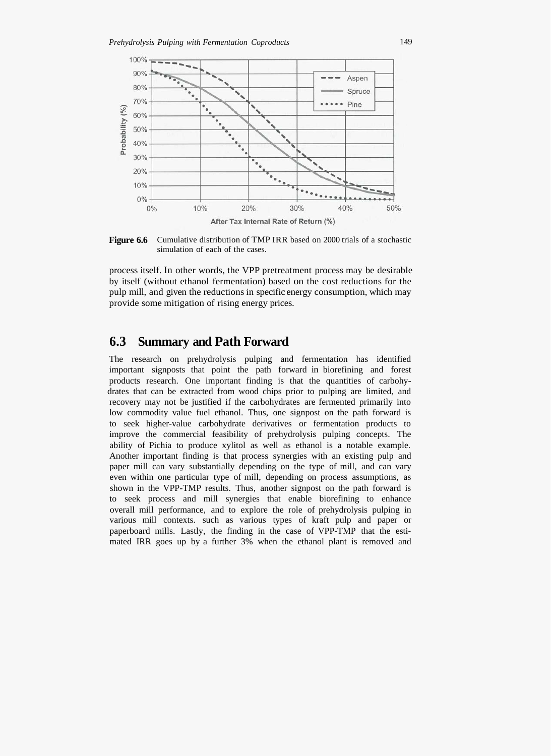

**[Figure](#page-14-0) 6.6** Cumulative distribution of TMP IRR based on 2000 trials of a stochastic simulation of each of the cases.

process itself. In other words, the VPP pretreatment process may be desirable by itself (without ethanol fermentation) based on the cost reductions for the pulp mill, and given the reductions in specific energy consumption, which may provide some mitigation of rising energy prices.

# **6.3 Summary and Path Forward**

The research on prehydrolysis pulping and fermentation has identified important signposts that point the path forward in biorefining and forest products research. One important finding is that the quantities of carbohydrates that can be extracted from wood chips prior to pulping are limited, and recovery may not be justified if the carbohydrates are fermented primarily into low commodity value fuel ethanol. Thus, one signpost on the path forward is to seek higher-value carbohydrate derivatives or fermentation products to improve the commercial feasibility of prehydrolysis pulping concepts. The ability of Pichia to produce xylitol as well as ethanol is a notable example. Another important finding is that process synergies with an existing pulp and paper mill can vary substantially depending on the type of mill, and can vary even within one particular type of mill, depending on process assumptions, as shown in the VPP-TMP results. Thus, another signpost on the path forward is to seek process and mill synergies that enable biorefining to enhance overall mill performance, and to explore the role of prehydrolysis pulping in various mill contexts. such as various types of kraft pulp and paper or paperboard mills. Lastly, the finding in the case of VPP-TMP that the estimated IRR goes up by a further 3% when the ethanol plant is removed and